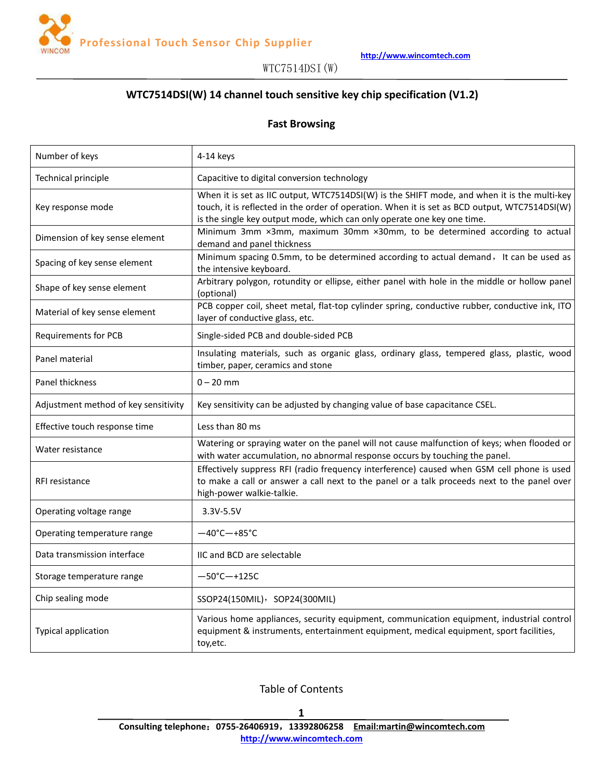

# **WTC7514DSI(W) 14 channel touch sensitive key chip specification (V1.2)**

#### **Fast Browsing**

| Number of keys                       | $4-14$ keys                                                                                                                                                                                                                                                             |
|--------------------------------------|-------------------------------------------------------------------------------------------------------------------------------------------------------------------------------------------------------------------------------------------------------------------------|
| Technical principle                  | Capacitive to digital conversion technology                                                                                                                                                                                                                             |
| Key response mode                    | When it is set as IIC output, WTC7514DSI(W) is the SHIFT mode, and when it is the multi-key<br>touch, it is reflected in the order of operation. When it is set as BCD output, WTC7514DSI(W)<br>is the single key output mode, which can only operate one key one time. |
| Dimension of key sense element       | Minimum 3mm ×3mm, maximum 30mm ×30mm, to be determined according to actual<br>demand and panel thickness                                                                                                                                                                |
| Spacing of key sense element         | Minimum spacing 0.5mm, to be determined according to actual demand, It can be used as<br>the intensive keyboard.                                                                                                                                                        |
| Shape of key sense element           | Arbitrary polygon, rotundity or ellipse, either panel with hole in the middle or hollow panel<br>(optional)                                                                                                                                                             |
| Material of key sense element        | PCB copper coil, sheet metal, flat-top cylinder spring, conductive rubber, conductive ink, ITO<br>layer of conductive glass, etc.                                                                                                                                       |
| <b>Requirements for PCB</b>          | Single-sided PCB and double-sided PCB                                                                                                                                                                                                                                   |
| Panel material                       | Insulating materials, such as organic glass, ordinary glass, tempered glass, plastic, wood<br>timber, paper, ceramics and stone                                                                                                                                         |
| Panel thickness                      | $0 - 20$ mm                                                                                                                                                                                                                                                             |
| Adjustment method of key sensitivity | Key sensitivity can be adjusted by changing value of base capacitance CSEL.                                                                                                                                                                                             |
| Effective touch response time        | Less than 80 ms                                                                                                                                                                                                                                                         |
| Water resistance                     | Watering or spraying water on the panel will not cause malfunction of keys; when flooded or<br>with water accumulation, no abnormal response occurs by touching the panel.                                                                                              |
| RFI resistance                       | Effectively suppress RFI (radio frequency interference) caused when GSM cell phone is used<br>to make a call or answer a call next to the panel or a talk proceeds next to the panel over<br>high-power walkie-talkie.                                                  |
| Operating voltage range              | 3.3V-5.5V                                                                                                                                                                                                                                                               |
| Operating temperature range          | $-40^{\circ}$ C $-+85^{\circ}$ C                                                                                                                                                                                                                                        |
| Data transmission interface          | IIC and BCD are selectable                                                                                                                                                                                                                                              |
| Storage temperature range            | $-50^{\circ}$ C $-+125C$                                                                                                                                                                                                                                                |
| Chip sealing mode                    | SSOP24(150MIL), SOP24(300MIL)                                                                                                                                                                                                                                           |
| Typical application                  | Various home appliances, security equipment, communication equipment, industrial control<br>equipment & instruments, entertainment equipment, medical equipment, sport facilities,<br>toy, etc.                                                                         |
|                                      |                                                                                                                                                                                                                                                                         |

Table of Contents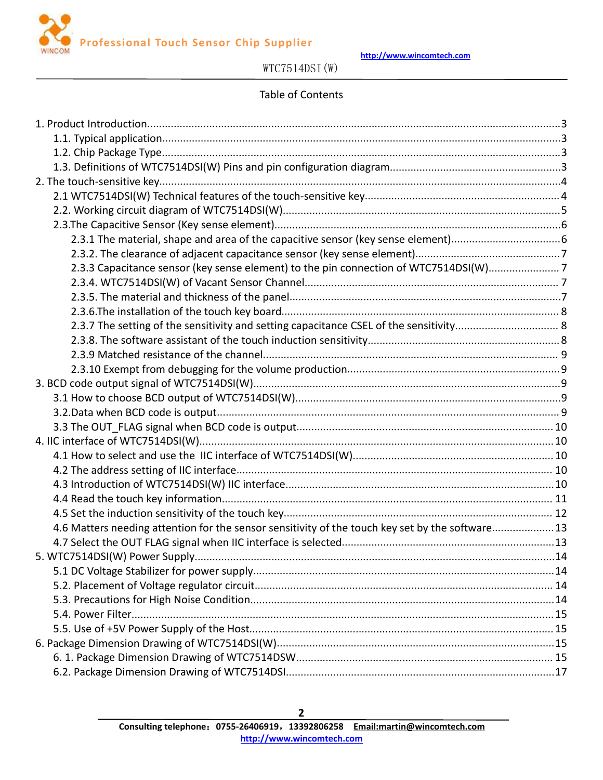

**http://www.wincomtech.com**

# WTC7514DSI(W)

## Table of Contents

| 2.3.3 Capacitance sensor (key sense element) to the pin connection of WTC7514DSI(W)7             |  |
|--------------------------------------------------------------------------------------------------|--|
|                                                                                                  |  |
|                                                                                                  |  |
|                                                                                                  |  |
|                                                                                                  |  |
|                                                                                                  |  |
|                                                                                                  |  |
|                                                                                                  |  |
|                                                                                                  |  |
|                                                                                                  |  |
|                                                                                                  |  |
|                                                                                                  |  |
|                                                                                                  |  |
|                                                                                                  |  |
|                                                                                                  |  |
|                                                                                                  |  |
|                                                                                                  |  |
|                                                                                                  |  |
| 4.6 Matters needing attention for the sensor sensitivity of the touch key set by the software 13 |  |
|                                                                                                  |  |
|                                                                                                  |  |
|                                                                                                  |  |
|                                                                                                  |  |
|                                                                                                  |  |
|                                                                                                  |  |
|                                                                                                  |  |
|                                                                                                  |  |
|                                                                                                  |  |
|                                                                                                  |  |
|                                                                                                  |  |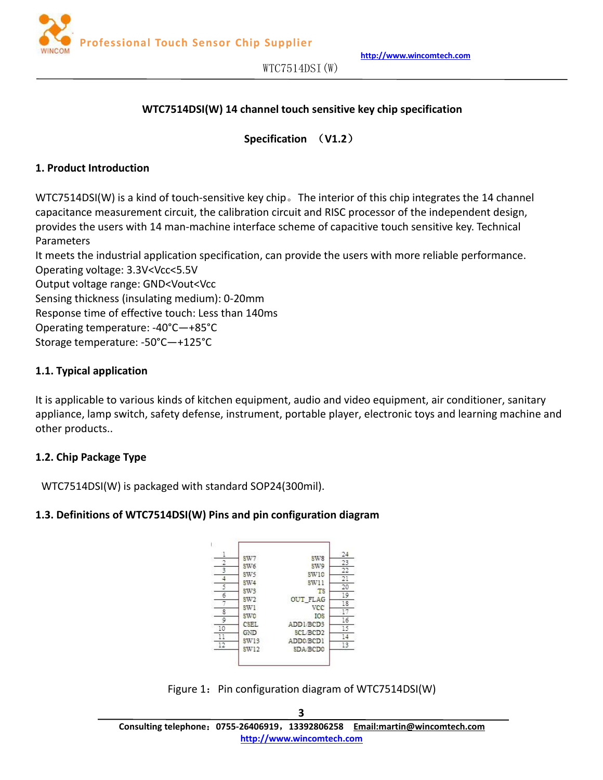<span id="page-2-0"></span>

#### **WTC7514DSI(W) 14 channel touch sensitive key chip specification**

**Specification** (**V1.2**)

#### **1. Product Introduction**

WTC7514DSI(W) is a kind of touch-sensitive key chip。The interior of this chip integrates the 14 channel capacitance measurement circuit, the calibration circuit and RISC processor of the independent design, provides the users with 14 man-machine interface scheme of capacitive touch sensitive key. Technical Parameters

It meets the industrial application specification, can provide the users with more reliable performance. Operating voltage: 3.3V<Vcc<5.5V

Output voltage range: GND<Vout<Vcc

Sensing thickness (insulating medium): 0-20mm

Response time of effective touch: Less than 140ms

Operating temperature: -40°C—+85°C

Storage temperature: -50°C—+125°C

#### **1.1. Typical application**

It is applicable to various kinds of kitchen equipment, audio and video equipment, air conditioner, sanitary appliance, lamp switch, safety defense, instrument, portable player, electronic toys and learning machine and other products..

## **1.2. Chip Package Type**

WTC7514DSI(W) is packaged with standard SOP24(300mil).

#### **1.3. Definitions of WTC7514DSI(W) Pins and pin configuration diagram**



Figure 1: Pin configuration diagram of WTC7514DSI(W)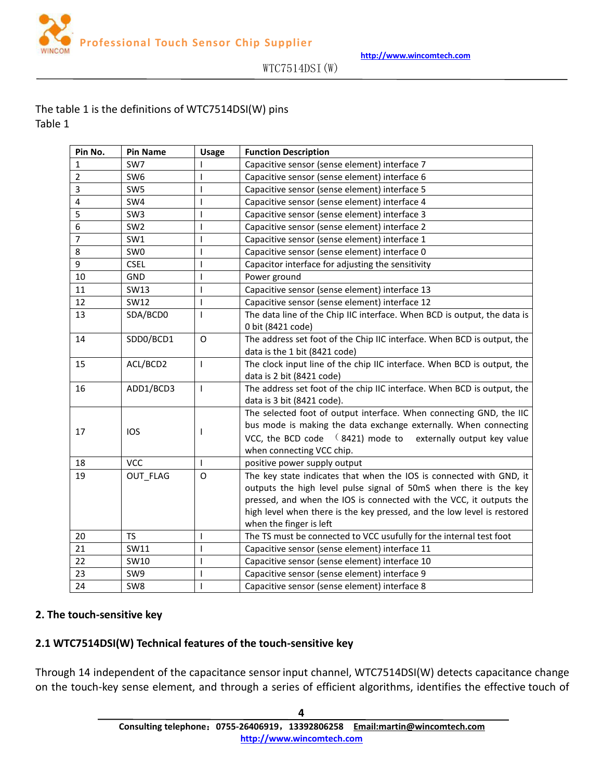$WTC7514DSI(W)$ 

## <span id="page-3-0"></span>The table 1 is the definitions of WTC7514DSI(W) pins Table 1

| Pin No.        | <b>Pin Name</b> | <b>Usage</b> | <b>Function Description</b>                                                                                                                                                                                                                                                                                           |  |  |  |  |
|----------------|-----------------|--------------|-----------------------------------------------------------------------------------------------------------------------------------------------------------------------------------------------------------------------------------------------------------------------------------------------------------------------|--|--|--|--|
| $\mathbf{1}$   | SW7             |              | Capacitive sensor (sense element) interface 7                                                                                                                                                                                                                                                                         |  |  |  |  |
| $\overline{2}$ | SW6             |              | Capacitive sensor (sense element) interface 6                                                                                                                                                                                                                                                                         |  |  |  |  |
| 3              | SW <sub>5</sub> |              | Capacitive sensor (sense element) interface 5                                                                                                                                                                                                                                                                         |  |  |  |  |
| $\pmb{4}$      | SW4             |              | Capacitive sensor (sense element) interface 4                                                                                                                                                                                                                                                                         |  |  |  |  |
| 5              | SW <sub>3</sub> |              | Capacitive sensor (sense element) interface 3                                                                                                                                                                                                                                                                         |  |  |  |  |
| 6              | SW <sub>2</sub> |              | Capacitive sensor (sense element) interface 2                                                                                                                                                                                                                                                                         |  |  |  |  |
| $\overline{7}$ | SW1             |              | Capacitive sensor (sense element) interface 1                                                                                                                                                                                                                                                                         |  |  |  |  |
| 8              | SW <sub>0</sub> |              | Capacitive sensor (sense element) interface 0                                                                                                                                                                                                                                                                         |  |  |  |  |
| 9              | <b>CSEL</b>     |              | Capacitor interface for adjusting the sensitivity                                                                                                                                                                                                                                                                     |  |  |  |  |
| 10             | <b>GND</b>      |              | Power ground                                                                                                                                                                                                                                                                                                          |  |  |  |  |
| 11             | SW13            |              | Capacitive sensor (sense element) interface 13                                                                                                                                                                                                                                                                        |  |  |  |  |
| 12             | SW12            |              | Capacitive sensor (sense element) interface 12                                                                                                                                                                                                                                                                        |  |  |  |  |
| 13             | SDA/BCD0        | ı            | The data line of the Chip IIC interface. When BCD is output, the data is<br>0 bit (8421 code)                                                                                                                                                                                                                         |  |  |  |  |
| 14             | SDD0/BCD1       | $\mathsf O$  | The address set foot of the Chip IIC interface. When BCD is output, the<br>data is the 1 bit (8421 code)                                                                                                                                                                                                              |  |  |  |  |
| 15             | ACL/BCD2        | $\mathbf{I}$ | The clock input line of the chip IIC interface. When BCD is output, the<br>data is 2 bit (8421 code)                                                                                                                                                                                                                  |  |  |  |  |
| 16             | ADD1/BCD3       | I            | The address set foot of the chip IIC interface. When BCD is output, the<br>data is 3 bit (8421 code).                                                                                                                                                                                                                 |  |  |  |  |
| 17             | <b>IOS</b>      |              | The selected foot of output interface. When connecting GND, the IIC<br>bus mode is making the data exchange externally. When connecting<br>VCC, the BCD code $(8421)$ mode to externally output key value<br>when connecting VCC chip.                                                                                |  |  |  |  |
| 18             | <b>VCC</b>      |              | positive power supply output                                                                                                                                                                                                                                                                                          |  |  |  |  |
| 19             | OUT FLAG        | O            | The key state indicates that when the IOS is connected with GND, it<br>outputs the high level pulse signal of 50mS when there is the key<br>pressed, and when the IOS is connected with the VCC, it outputs the<br>high level when there is the key pressed, and the low level is restored<br>when the finger is left |  |  |  |  |
| 20             | <b>TS</b>       |              | The TS must be connected to VCC usufully for the internal test foot                                                                                                                                                                                                                                                   |  |  |  |  |
| 21             | SW11            |              | Capacitive sensor (sense element) interface 11                                                                                                                                                                                                                                                                        |  |  |  |  |
| 22             | SW10            |              | Capacitive sensor (sense element) interface 10                                                                                                                                                                                                                                                                        |  |  |  |  |
| 23             | SW9             |              | Capacitive sensor (sense element) interface 9                                                                                                                                                                                                                                                                         |  |  |  |  |
| 24             | SW8             |              | Capacitive sensor (sense element) interface 8                                                                                                                                                                                                                                                                         |  |  |  |  |

#### **2. The touch-sensitive key**

#### **2.1 WTC7514DSI(W) Technical features of the touch-sensitive key**

Through 14 independent of the capacitance sensor input channel, WTC7514DSI(W) detects capacitance change on the touch-key sense element, and through a series of efficient algorithms, identifies the effective touch of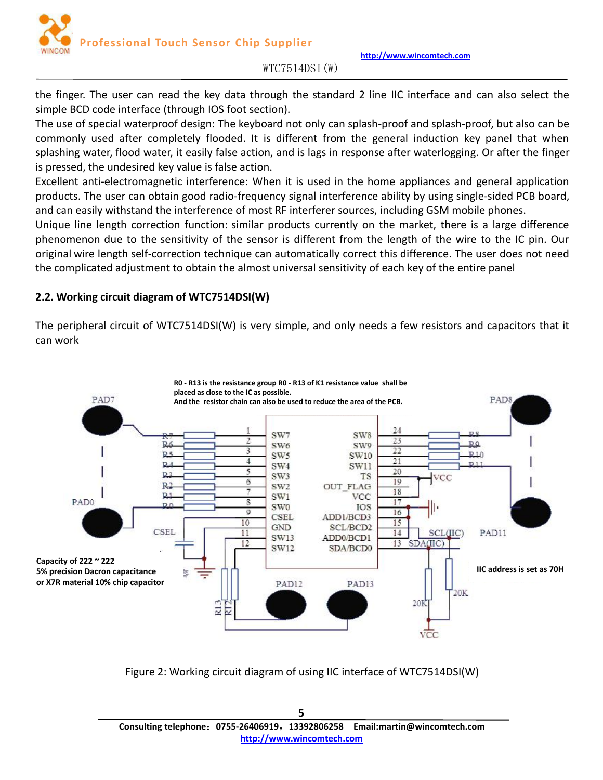<span id="page-4-0"></span>the finger. The user can read the key data through the standard 2 line IIC interface and can also select the simple BCD code interface (through IOS foot section).

The use of special waterproof design: The keyboard not only can splash-proof and splash-proof, but also can be commonly used after completely flooded. It is different from the general induction key panel that when splashing water, flood water, it easily false action, and is lags in response after waterlogging. Or after the finger is pressed, the undesired key value is false action.

Excellent anti-electromagnetic interference: When it is used in the home appliances and general application products. The user can obtain good radio-frequency signal interference ability by using single-sided PCB board, and can easily withstand the interference of most RF interferer sources, including GSM mobile phones.

Unique line length correction function: similar products currently on the market, there is a large difference phenomenon due to the sensitivity of the sensor is different from the length of the wire to the IC pin. Our original wire length self-correction technique can automatically correct this difference. The user does not need the complicated adjustment to obtain the almost universal sensitivity of each key of the entire panel

## **2.2. Working circuit diagram of WTC7514DSI(W)**

The peripheral circuit of WTC7514DSI(W) is very simple, and only needs a few resistors and capacitors that it can work



Figure 2: Working circuit diagram of using IIC interface of WTC7514DSI(W)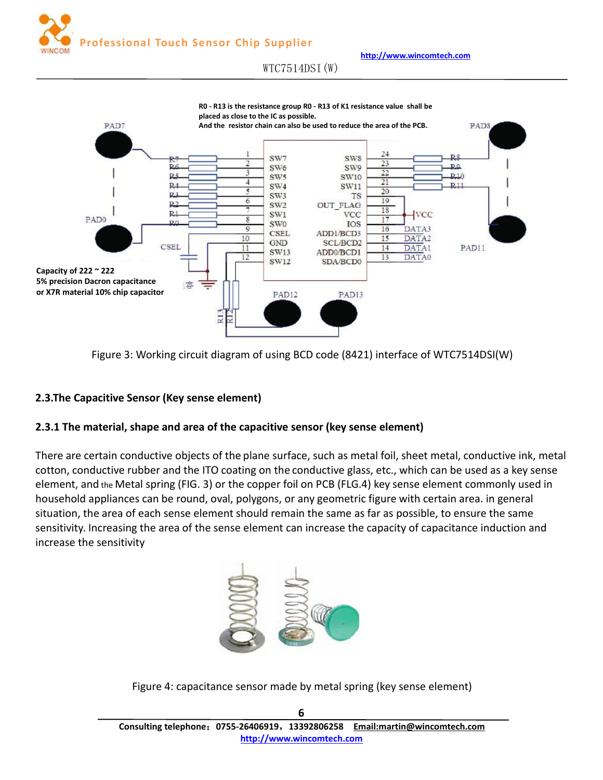**http://www.wincomtech.com**

#### $WTC7514DSI(W)$

<span id="page-5-0"></span>

Figure 3: Working circuit diagram of using BCD code(8421) interface of WTC7514DSI(W)

# **2.3.The Capacitive Sensor (Key sense element)**

## **2.3.1 The material, shape and area of the capacitive sensor (key sense element)**

There are certain conductive objects of the plane surface, such as metal foil, sheet metal, conductive ink, metal cotton, conductive rubber and the ITO coating on the conductive glass, etc., which can be used as a key sense element, and the Metal spring (FIG. 3) or the copper foil on PCB (FLG.4) key sense element commonly used in household appliances can be round, oval, polygons, or any geometric figure with certain area. in general situation, the area of each sense element should remain the same as far as possible, to ensure the same sensitivity. Increasing the area of the sense element can increase the capacity of capacitance induction and increase the sensitivity



Figure 4: capacitance sensor made by metal spring (key sense element)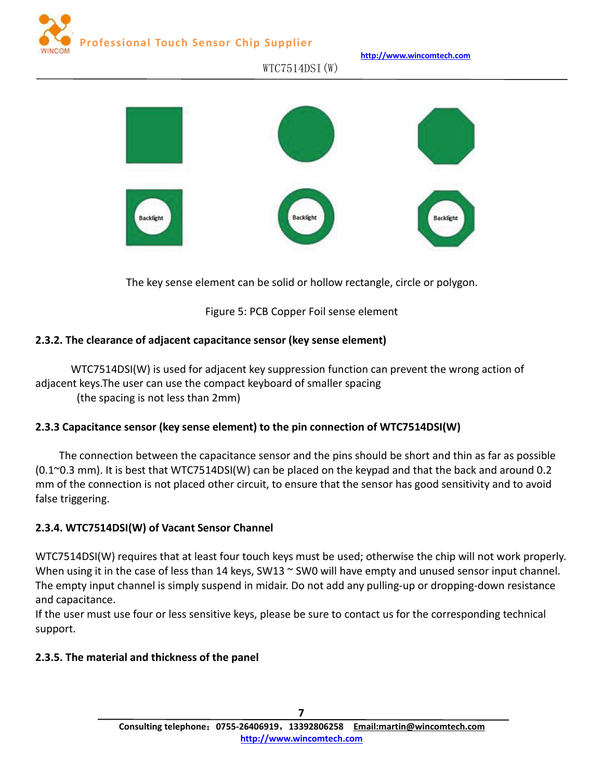<span id="page-6-0"></span>

**http://www.wincomtech.com**

# **Backlight Backlight**

 $WTC7514DSI(W)$ 

The key sense element can be solid or hollow rectangle, circle or polygon.

Figure 5: PCB Copper Foil sense element

## **2.3.2. The clearance of adjacent capacitance sensor (key sense element)**

WTC7514DSI(W) is used for adjacent key suppression function can prevent the wrong action of adjacent keys.The user can use the compact keyboard of smaller spacing

(the spacing is not less than 2mm)

# **2.3.3 Capacitance sensor (key sense element) to the pin connection of WTC7514DSI(W)**

The connection between the capacitance sensor and the pins should be short and thin as far as possible (0.1~0.3 mm). It is best that WTC7514DSI(W) can be placed on the keypad and that the back and around 0.2 mm of the connection is not placed other circuit, to ensure that the sensorhas good sensitivity and to avoid false triggering.

# **2.3.4. WTC7514DSI(W) of Vacant Sensor Channel**

WTC7514DSI(W) requires that at least four touch keys must be used; otherwise the chip will not work properly. When using it in the case of less than 14 keys, SW13 ~ SW0 will have empty and unused sensor input channel. The empty input channel is simply suspend in midair. Do not add any pulling-up or dropping-down resistance and capacitance.

If the user must use four or less sensitive keys, please be sure to contact us for the corresponding technical support.

## **2.3.5. The material and thickness of the panel**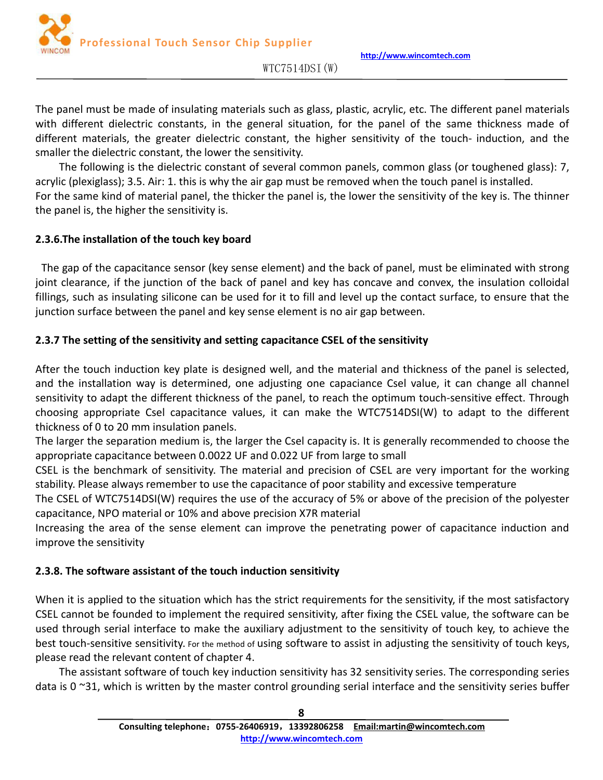

**http://www.wincomtech.com**

 $WTC7514DSI(W)$ 

<span id="page-7-0"></span>The panel must be made of insulating materials such as glass, plastic, acrylic, etc. The different panel materials with different dielectric constants, in the general situation, for the panel of the same thickness made of different materials, the greater dielectric constant, the higher sensitivity of the touch- induction, and the smaller the dielectric constant, the lower the sensitivity.

The following is the dielectric constant of several common panels, common glass (or toughened glass): 7, acrylic (plexiglass); 3.5. Air: 1. this is why the air gap must be removed when the touch panel is installed. For the same kind of material panel, the thicker the panel is, the lower the sensitivity of the key is. The thinner the panel is, the higher the sensitivity is.

## **2.3.6.The installation of the touch key board**

The gap of the capacitance sensor (key sense element) and the back of panel, must be eliminated with strong joint clearance, if the junction of the back of panel and key has concave and convex, the insulation colloidal fillings, such as insulating silicone can be used for it to fill and level up the contact surface, to ensure that the junction surface between the panel and key sense element is no air gap between.

## **2.3.7 The setting of the sensitivity and setting capacitance CSEL of the sensitivity**

After the touch induction key plate is designed well, and the material and thickness of the panel is selected, and the installation way is determined, one adjusting one capaciance Csel value, it can change all channel sensitivity to adapt the different thickness of the panel, to reach the optimum touch-sensitive effect. Through choosing appropriate Csel capacitance values, it can make the WTC7514DSI(W) to adapt to the different thickness of 0 to 20 mm insulation panels.

The larger the separation medium is, the larger the Csel capacity is. It is generally recommended to choose the appropriate capacitance between 0.0022 UF and 0.022 UF from large to small

CSEL is the benchmark of sensitivity. The material and precision of CSEL are very important for the working stability. Please always remember to use the capacitance of poor stability and excessive temperature

The CSEL of WTC7514DSI(W) requires the use of the accuracy of 5% or above of the precision of the polyester capacitance, NPO material or 10% and above precision X7R material

Increasing the area of the sense element can improve the penetrating power of capacitance induction and improve the sensitivity

## **2.3.8. The software assistant of the touch induction sensitivity**

When it is applied to the situation which has the strict requirements for the sensitivity, if the most satisfactory CSEL cannot be founded to implement the required sensitivity, after fixing the CSEL value, the software can be used through serial interface to make the auxiliary adjustment to the sensitivity of touch key, to achieve the best touch-sensitive sensitivity. For the method of using software to assist in adjusting the sensitivity of touch keys, please read the relevant content of chapter 4.

The assistant software of touch key induction sensitivity has 32 sensitivity series. The corresponding series data is 0 $\degree$ 31, which is written by the master control grounding serial interface and the sensitivity series buffer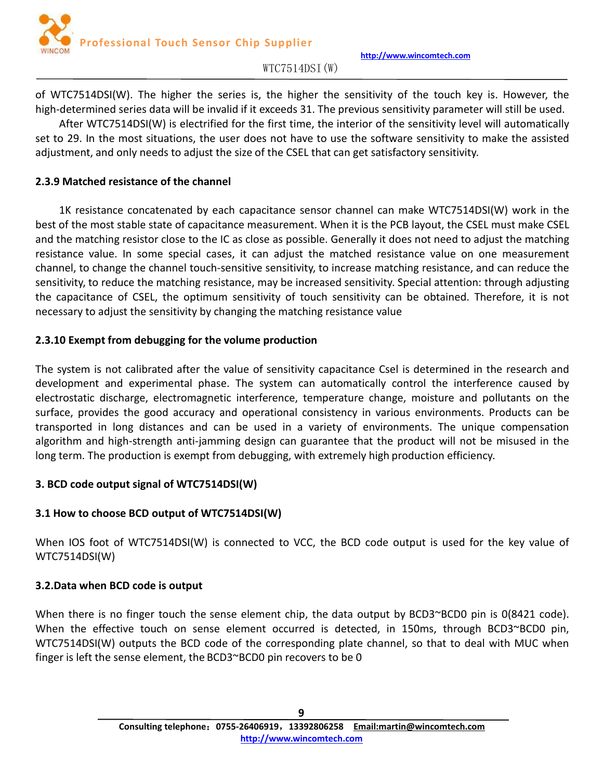

#### $WTC7514DSI(W)$

<span id="page-8-0"></span>of WTC7514DSI(W). The higher the series is, the higher the sensitivity of the touch key is. However, the high-determined series data will be invalid if it exceeds 31. The previous sensitivity parameter will still be used.

After WTC7514DSI(W) is electrified for the first time, the interior of the sensitivity level will automatically set to 29. In the most situations, the user does not have to use the software sensitivity to make the assisted adjustment, and only needs to adjust the size of the CSEL that can get satisfactory sensitivity.

## **2.3.9 Matched resistance of the channel**

1K resistance concatenated byeach capacitance sensor channel can make WTC7514DSI(W) work in the best of the most stable state of capacitance measurement. When it is the PCB layout, the CSEL must make CSEL and the matching resistor close to the IC as close as possible. Generally it does not need to adjust the matching resistance value. In some special cases, it can adjust the matched resistance value on one measurement channel, to change the channel touch-sensitive sensitivity, to increase matching resistance, and can reduce the sensitivity, to reduce the matching resistance, may be increased sensitivity. Special attention: through adjusting the capacitance of CSEL, the optimum sensitivity of touch sensitivity can be obtained. Therefore, it is not necessary to adjust the sensitivity by changing the matching resistance value

## **2.3.10 Exempt from debugging for the volume production**

The system is not calibrated after the value of sensitivity capacitance Csel is determined in the research and development and experimental phase. The system can automatically control the interference caused by electrostatic discharge, electromagnetic interference, temperature change, moisture and pollutants on the surface, provides the good accuracy and operational consistency in various environments. Products can be transported in long distances and can be used in a variety of environments. The unique compensation algorithm and high-strength anti-jamming design can guarantee that the product will not be misused in the long term. The production is exempt from debugging, with extremely high production efficiency.

## **3. BCD code output signal of WTC7514DSI(W)**

# **3.1 How to choose BCD output of WTC7514DSI(W)**

When IOS foot of WTC7514DSI(W) is connected to VCC, the BCD code output is used for the key value of WTC7514DSI(W)

## **3.2.Data when BCD code is output**

When there is no finger touch the sense element chip, the data output by BCD3~BCD0 pin is 0(8421 code). When the effective touch on sense element occurred is detected, in 150ms, through BCD3~BCD0 pin, WTC7514DSI(W) outputs the BCD code of the corresponding plate channel, so that to deal with MUC when finger is left the sense element, the BCD3~BCD0 pin recovers to be 0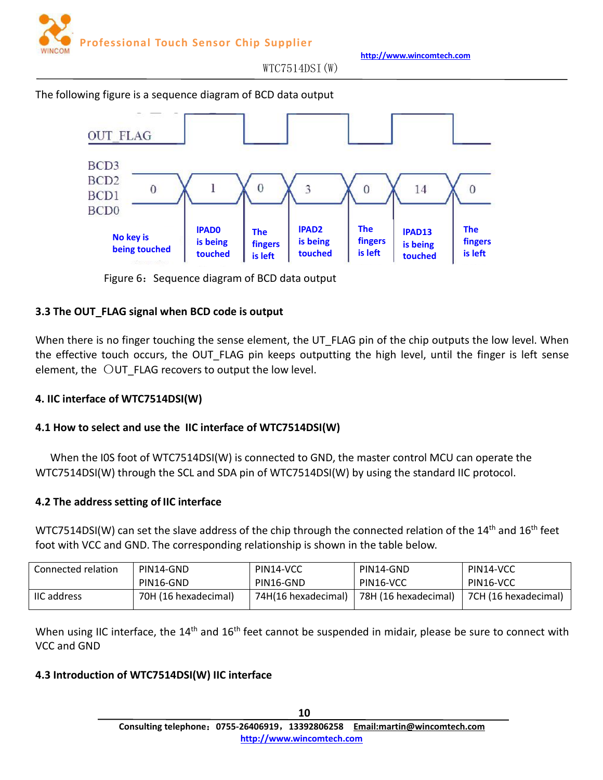

 $WTC7514DSI(W)$ 

<span id="page-9-0"></span>The following figure is a sequence diagram of BCD data output



Figure 6: Sequence diagram of BCD data output

## **3.3 The OUT\_FLAG signal when BCD code is output**

When there is no finger touching the sense element, the UT\_FLAG pin of the chip outputs the low level. When the effective touch occurs, the OUT FLAG pin keeps outputting the high level, until the finger is left sense element, the  $\overline{O}$ UT FLAG recovers to output the low level.

## **4. IIC interface of WTC7514DSI(W)**

# **4.1 How to select and use the IIC interface of WTC7514DSI(W)**

When the I0S foot of WTC7514DSI(W) is connected to GND, the master control MCU can operate the WTC7514DSI(W) through the SCL and SDA pin of WTC7514DSI(W) by using the standard IIC protocol.

## **4.2 The address setting of IIC interface**

WTC7514DSI(W) can set the slave address of the chip through the connected relation of the 14<sup>th</sup> and 16<sup>th</sup> feet foot with VCC and GND. The corresponding relationship is shown in the table below.

| Connected relation | PIN14-GND            | PIN14-VCC           | PIN14-GND            | PIN14-VCC            |
|--------------------|----------------------|---------------------|----------------------|----------------------|
|                    | PIN16-GND            | PIN16-GND           | PIN16-VCC            | PIN16-VCC            |
| <b>IIC</b> address | 70H (16 hexadecimal) | 74H(16 hexadecimal) | 78H (16 hexadecimal) | 7CH (16 hexadecimal) |

When using IIC interface, the 14<sup>th</sup> and 16<sup>th</sup> feet cannot be suspended in midair, please be sure to connect with VCC and GND

## **4.3 Introduction of WTC7514DSI(W) IIC interface**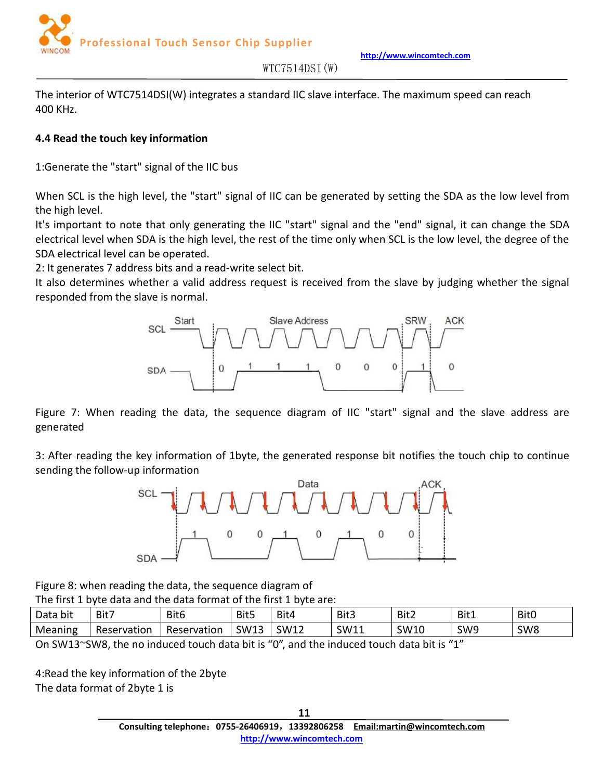**http://www.wincomtech.com**



 $WTC7514DSI(W)$ 

<span id="page-10-0"></span>The interior of WTC7514DSI(W) integrates a standard IIC slave interface. The maximum speed can reach 400 KHz.

## **4.4 Read the touch key information**

1:Generate the "start" signal of the IIC bus

When SCL is the high level, the "start" signal of IIC can be generated by setting the SDA as the low level from the high level.

It's important to note that only generating the IIC "start" signal and the "end" signal, it can change the SDA electrical level when SDA is the high level, the rest of the time only when SCL isthe low level, the degree of the SDA electrical level can be operated.

2: It generates 7 address bits and a read-write select bit.

It also determines whether a valid address request is received from the slave by judging whether the signal responded from the slave is normal.



Figure 7: When reading the data, the sequence diagram of IIC "start" signal and the slave address are generated

3: After reading the key information of 1byte, the generated response bit notifies the touch chip to continue sending the follow-up information



Figure 8: when reading the data, the sequence diagram of

The first 1 byte data and the data format of the first 1 byte are:

| $\cdot$ .<br>Data<br>. bit | Bit7        | Bit <sub>6</sub> | Bit5             | Bit4               | Bit3 | Bit2                                    | Bit1            | <b>Bit0</b>     |
|----------------------------|-------------|------------------|------------------|--------------------|------|-----------------------------------------|-----------------|-----------------|
| Meaning<br>. .             | Reservation | Reservation      | <b>SW13</b><br>. | <b>SW12</b><br>. . | SW11 | SW <sub>10</sub><br>. . <b>.</b><br>- - | SW <sub>9</sub> | SW <sub>8</sub> |

On SW13~SW8, the no induced touch data bit is "0", and the induced touch data bit is "1"

4:Read the key information of the 2byte The data format of 2byte 1 is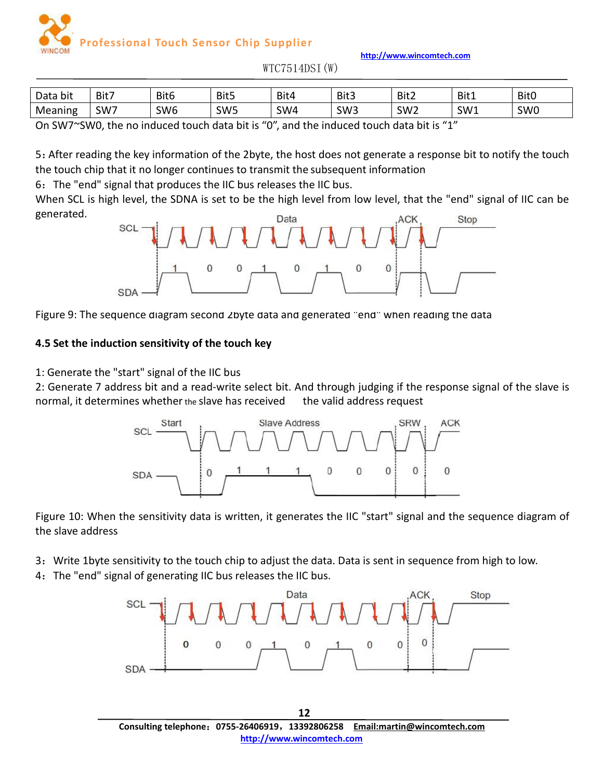**http://www.wincomtech.com**

 $WTC7514DSI(W)$ 

<span id="page-11-0"></span>

| Data bit | Bit7 | Bit6            | Bit5            | Bit4 | Bit3            | Bit2            | Bit1 | Bit <sub>0</sub> |
|----------|------|-----------------|-----------------|------|-----------------|-----------------|------|------------------|
| Meaning  | SW7  | SW <sub>6</sub> | SW <sub>5</sub> | SW4  | SW <sub>3</sub> | SW <sub>2</sub> | SW1  | SW <sub>0</sub>  |
| .<br>___ |      |                 |                 |      |                 |                 |      |                  |

On SW7~SW0, the no induced touch data bit is "0", and the induced touch data bit is "1"

5:After reading the key information of the 2byte, the host does not generate a response bit to notify the touch the touch chip that it no longer continues to transmit the subsequent information

6: The "end" signal that produces the IIC bus releases the IIC bus.

When SCL is high level, the SDNA is set to be the high level from low level, that the "end" signal of IIC can be generated.



Figure 9: The sequence diagram second 2byte data and generated "end" when reading the data

## **4.5 Set the induction sensitivity of the touch key**

1: Generate the "start" signal of the IIC bus

2: Generate 7 address bit and a read-write select bit. And through judging if the response signal of the slave is normal, it determines whether the slave has received the valid address request



Figure 10: When the sensitivity data is written, it generates the IIC "start" signal and the sequence diagram of the slave address

3:Write 1byte sensitivity to the touch chip to adjust the data. Data is sent in sequence from high to low.

4: The "end" signal of generating IIC bus releases the IIC bus.



**Consulting telephone**:**0755-26406919**,**13392806258 Email:martin@wincomtech.com http://www.wincomtech.com**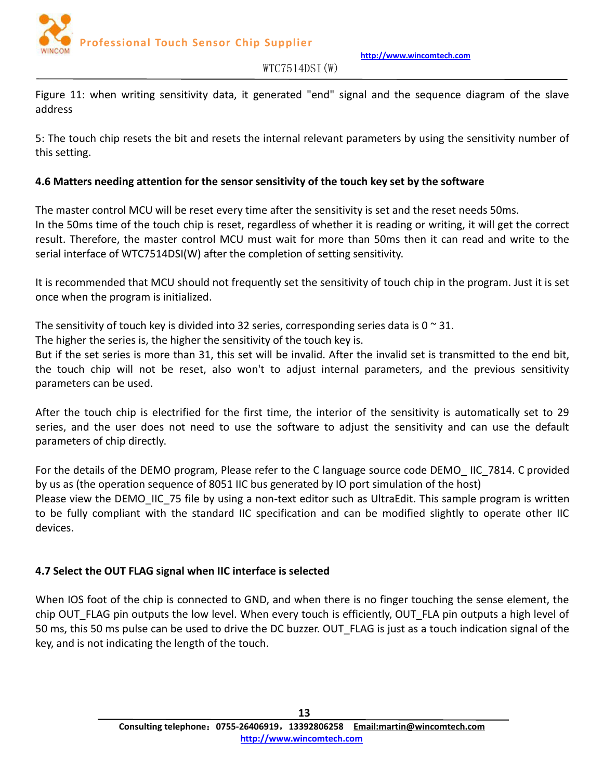

<span id="page-12-0"></span>Figure 11: when writing sensitivity data, it generated "end" signal and the sequence diagram of the slave address

5: The touch chip resets the bit and resets the internal relevant parameters by using the sensitivity number of this setting.

## **4.6 Matters needing attention for the sensor sensitivity of the touch key set by the software**

The master control MCU will be reset every time after the sensitivity is set and the reset needs 50ms. In the 50ms time of the touch chip is reset, regardless of whether it is reading or writing, it will get the correct result. Therefore, the master control MCU must wait for more than 50ms then it can read and write to the serial interface of WTC7514DSI(W) after the completion of setting sensitivity.

It is recommended that MCU should not frequently set the sensitivity of touch chip in the program. Just it is set once when the program is initialized.

The sensitivity of touch key is divided into 32 series, corresponding series data is  $0 \approx 31$ .

The higher the series is, the higher the sensitivity of the touch key is.

But if the set series is more than 31, this set will be invalid. After the invalid set is transmitted to the end bit, the touch chip will not be reset, also won't to adjust internal parameters, and the previous sensitivity parameters can be used.

After the touch chip is electrified for the first time, the interior of the sensitivity is automatically set to 29 series, and the user does not need to use the software to adjust the sensitivity and can use the default parameters of chip directly.

For the details of the DEMO program, Please refer to the C language source code DEMO\_ IIC\_7814. C provided by us as (the operation sequence of 8051 IIC bus generated by IO port simulation of the host) Please view the DEMO IIC 75 file by using a non-text editor such as UltraEdit. This sample program is written to be fully compliant with the standard IIC specification and can be modified slightly to operate other IIC devices.

# **4.7 Select the OUT FLAG signal when IIC interface is selected**

When IOS foot of the chip is connected to GND, and when there is no finger touching the sense element, the chip OUT FLAG pin outputs the low level. When every touch is efficiently, OUT FLA pin outputs a high level of 50 ms, this 50 ms pulse can be used to drive the DC buzzer. OUT FLAG is just as a touch indication signal of the key, and is not indicating the length of the touch.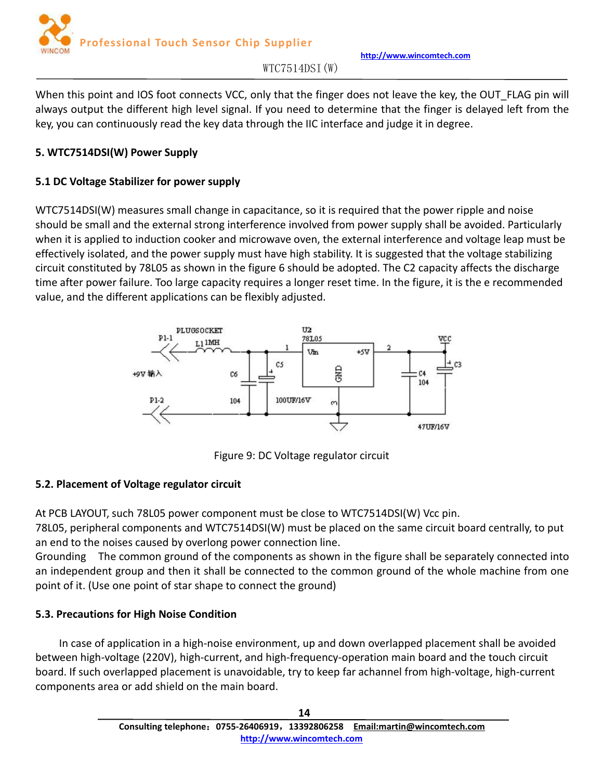

 $WTC7514DSI(W)$ 

<span id="page-13-0"></span>When this point and IOS foot connects VCC, only that the finger does not leave the key, the OUT FLAG pin will always output the different high level signal. If you need to determine that the finger is delayed left from the key, you can continuously read the key data through the IIC interface and judge it in degree.

## **5. WTC7514DSI(W) Power Supply**

# **5.1 DC Voltage Stabilizer for power supply**

WTC7514DSI(W) measures small change in capacitance, so it is required that the power ripple and noise should be small and the external strong interference involved from power supply shall be avoided. Particularly when it is applied to induction cooker and microwave oven, the external interference and voltage leap must be effectively isolated, and the power supply musthave high stability. It is suggested that the voltage stabilizing circuit constituted by 78L05 as shown in the figure 6 should be adopted.The C2 capacity affects the discharge time after power failure. Too large capacity requires a longer reset time. In the figure, it is the e recommended value, and the different applications can be flexibly adjusted.



Figure 9: DC Voltage regulator circuit

## **5.2. Placement of Voltage regulator circuit**

At PCB LAYOUT, such 78L05 power component must be close to WTC7514DSI(W) Vcc pin.

78L05, peripheral components and WTC7514DSI(W) must be placed on the same circuit board centrally, to put an end to the noises caused by overlong power connection line.

Grounding The common ground of the components as shown in the figure shall be separately connected into an independent group and then it shall be connected to the common ground of the whole machine from one point of it.(Use one point of star shape to connect the ground)

# **5.3. Precautions for High Noise Condition**

In case of application in a high-noise environment, up and down overlapped placement shall be avoided between high-voltage (220V), high-current, and high-frequency-operation main board and the touch circuit board. If such overlapped placement is unavoidable, try to keep far achannel from high-voltage, high-current components area or add shield on the main board.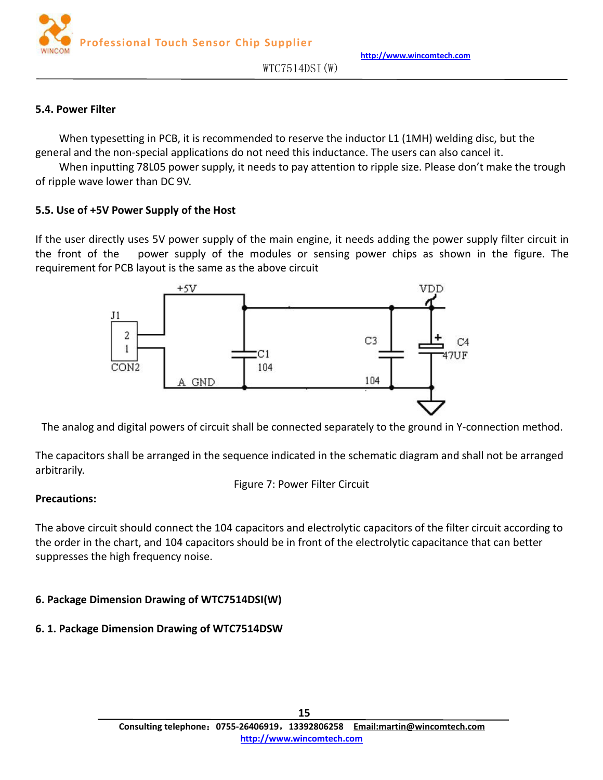

#### <span id="page-14-0"></span>**5.4. Power Filter**

When typesetting in PCB, it is recommended to reserve the inductor L1 (1MH) welding disc, but the general and the non-special applications do not need this inductance. The users can also cancel it.

When inputting 78L05 power supply, it needs to pay attention to ripple size. Please don't make the trough of ripple wave lower than DC 9V.

#### **5.5. Use of +5V Power Supply of the Host**

If the user directly uses 5V power supply of the main engine, it needs adding the power supply filter circuit in the front of the power supply of the modules or sensing power chips as shown in the figure. The requirement for PCB layout is the same as the above circuit



The analog and digital powers of circuit shall be connected separately to the ground in Y-connection method.

The capacitors shall be arranged in the sequence indicated in the schematic diagram and shall not be arranged arbitrarily.

Figure 7: Power Filter Circuit

#### **Precautions:**

The above circuit should connect the 104 capacitors and electrolytic capacitors of the filter circuit according to the order in the chart, and 104 capacitors should be in front of the electrolytic capacitance that can better suppresses the high frequency noise.

## **6. Package Dimension Drawing of WTC7514DSI(W)**

## **6. 1. Package Dimension Drawing of WTC7514DSW**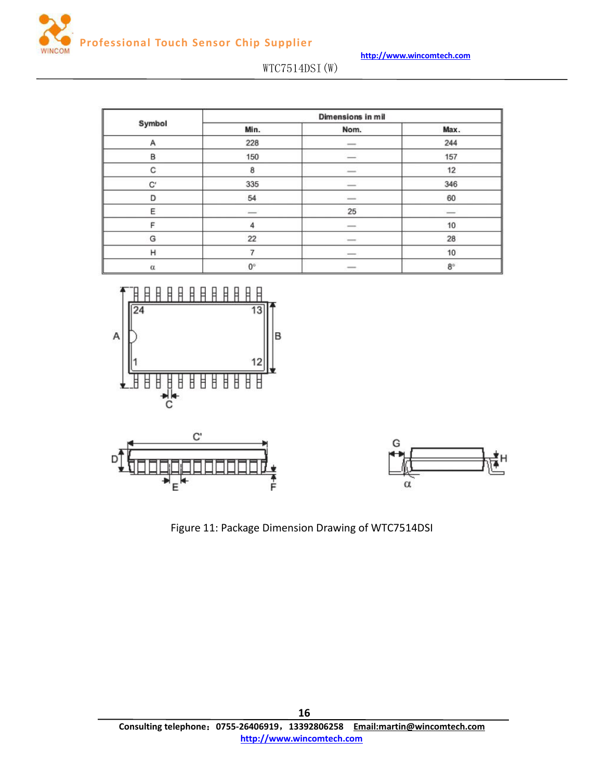

|          | Dimensions in mil        |                                |               |  |  |  |
|----------|--------------------------|--------------------------------|---------------|--|--|--|
| Symbol   | Min.                     | Nom.                           | Max.          |  |  |  |
| А        | 228                      | $\overline{\phantom{a}}$       | 244           |  |  |  |
| B        | 150                      | $\qquad \qquad \longleftarrow$ | 157           |  |  |  |
| С        | 8                        | -                              | 12            |  |  |  |
| C,       | 335                      | $\overline{\phantom{a}}$       | 346           |  |  |  |
| D        | 54                       | $\frac{1}{2}$                  | 60            |  |  |  |
| E        | $\overline{\phantom{a}}$ | 25                             | $\frac{1}{2}$ |  |  |  |
| F        | 4                        | $\frac{1}{2}$                  | 10            |  |  |  |
| G        | 22                       | $\frac{1}{2}$                  | 28            |  |  |  |
| н        |                          | $\frac{1}{2}$                  | 10            |  |  |  |
| $\alpha$ | $0^{\circ}$              | $\frac{1}{2}$                  | $8^{\circ}$   |  |  |  |







Figure 11: Package Dimension Drawing of WTC7514DSI